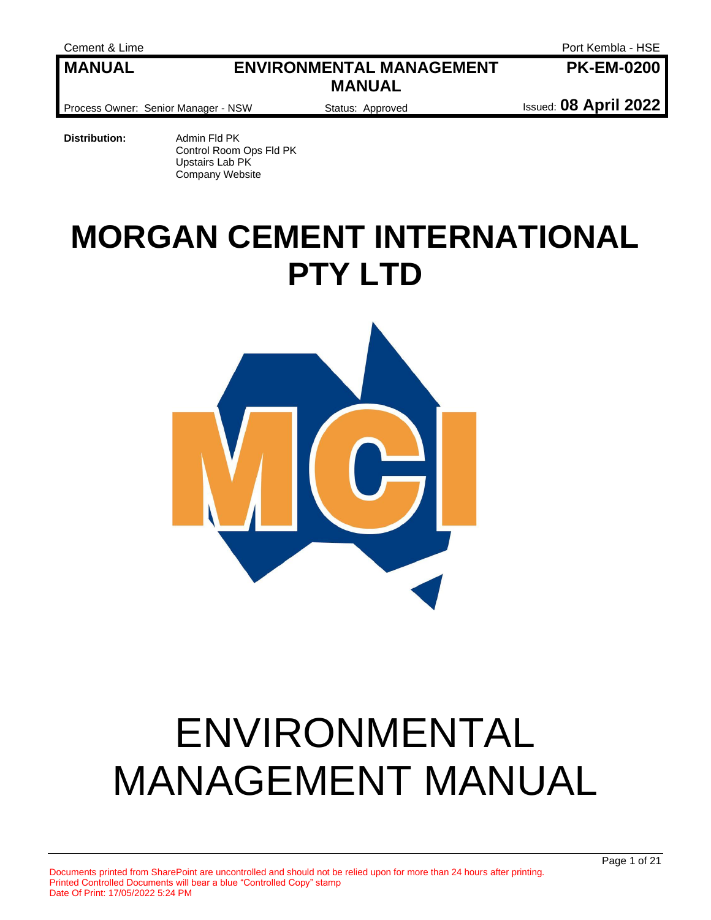Cement & Lime **Port Kembla - HSE PK-EM-0200**

#### **MANUAL ENVIRONMENTAL MANAGEMENT MANUAL**

Process Owner: Senior Manager - NSW **Status: Approved Integral Insurance Integral** Issued: **08 April 2022** 

**Distribution:** Admin Fld PK Control Room Ops Fld PK Upstairs Lab PK Company Website

## **MORGAN CEMENT INTERNATIONAL PTY LTD**



# ENVIRONMENTAL MANAGEMENT MANUAL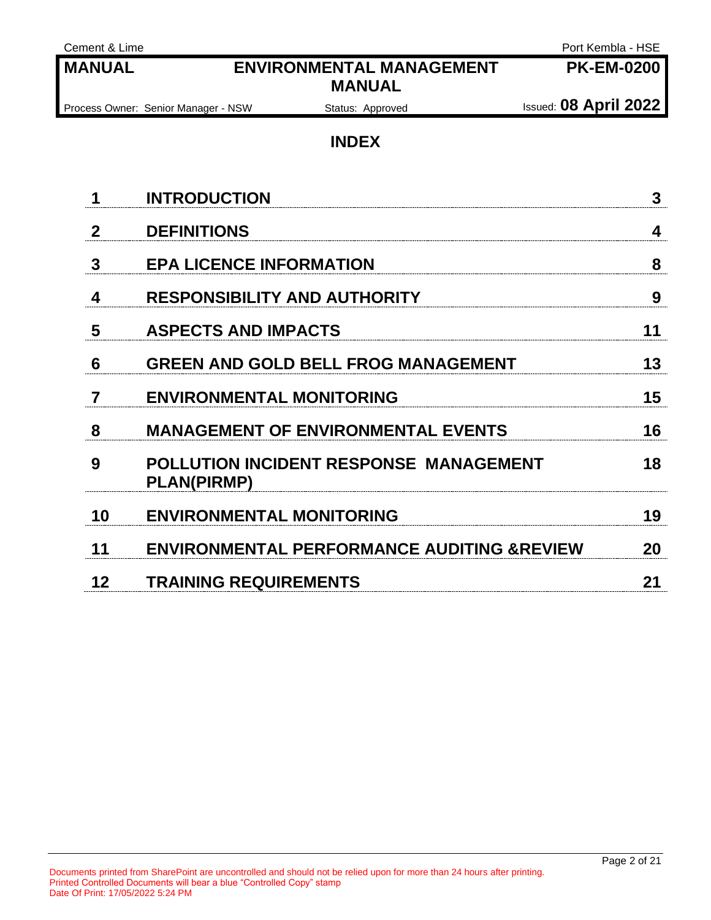| Cement & Lime  |                                                                     | Port Kembla - HSE            |
|----------------|---------------------------------------------------------------------|------------------------------|
| <b>MANUAL</b>  | <b>ENVIRONMENTAL MANAGEMENT</b><br><b>MANUAL</b>                    | <b>PK-EM-0200</b>            |
|                | Process Owner: Senior Manager - NSW<br>Status: Approved             | <b>Issued: 08 April 2022</b> |
|                | <b>INDEX</b>                                                        |                              |
| 1              | <b>INTRODUCTION</b>                                                 | 3                            |
| $\mathbf{2}$   | <b>DEFINITIONS</b>                                                  | 4                            |
| 3              | <b>EPA LICENCE INFORMATION</b>                                      | 8                            |
| 4              | <b>RESPONSIBILITY AND AUTHORITY</b>                                 | 9                            |
| 5              | <b>ASPECTS AND IMPACTS</b>                                          | 11                           |
| 6              | <b>GREEN AND GOLD BELL FROG MANAGEMENT</b>                          | 13                           |
| $\overline{7}$ | <b>ENVIRONMENTAL MONITORING</b>                                     | 15                           |
| 8              | <b>MANAGEMENT OF ENVIRONMENTAL EVENTS</b>                           | 16                           |
| 9              | <b>POLLUTION INCIDENT RESPONSE MANAGEMENT</b><br><b>PLAN(PIRMP)</b> | 18                           |
| 10             | <b>ENVIRONMENTAL MONITORING</b>                                     | 19                           |
| 11             | <b>ENVIRONMENTAL PERFORMANCE AUDITING &amp;REVIEW</b>               | 20                           |
| 12             | <b>TRAINING REQUIREMENTS</b>                                        | 21                           |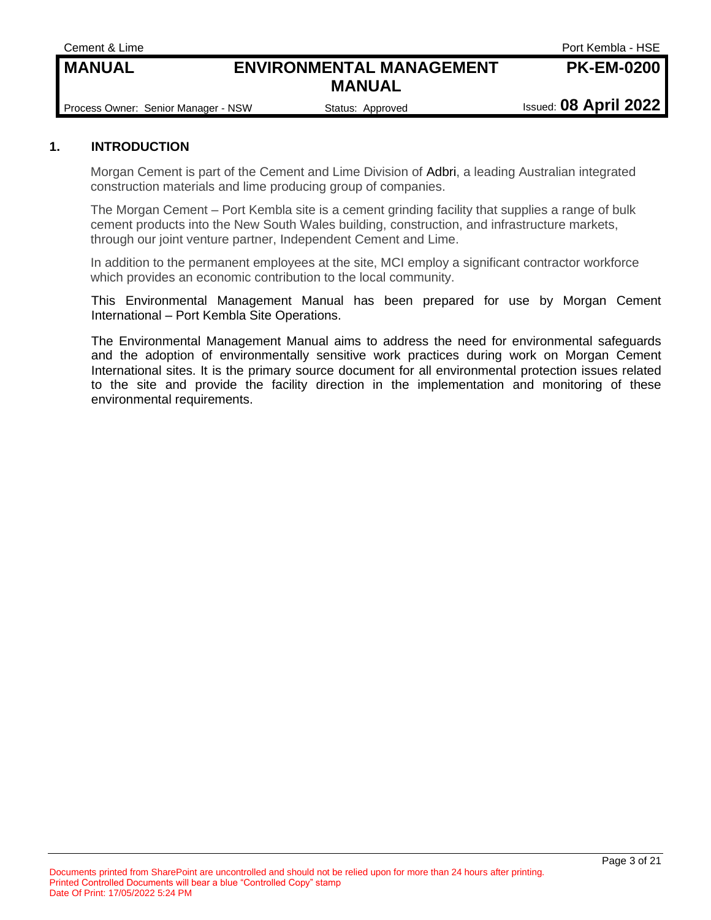## Process Owner: Senior Manager - NSW Status: Approved Issued: 08 April 2022

**MANUAL**

**MANUAL ENVIRONMENTAL MANAGEMENT**

#### **1. INTRODUCTION**

Morgan Cement is part of the Cement and Lime Division of [Adbri,](http://adbri.com.au/) a leading Australian integrated construction materials and lime producing group of companies.

The Morgan Cement – Port Kembla site is a cement grinding facility that supplies a range of bulk cement products into the New South Wales building, construction, and infrastructure markets, through our joint venture partner, Independent Cement and Lime.

In addition to the permanent employees at the site, MCI employ a significant contractor workforce which provides an economic contribution to the local community.

This Environmental Management Manual has been prepared for use by Morgan Cement International – Port Kembla Site Operations.

The Environmental Management Manual aims to address the need for environmental safeguards and the adoption of environmentally sensitive work practices during work on Morgan Cement International sites. It is the primary source document for all environmental protection issues related to the site and provide the facility direction in the implementation and monitoring of these environmental requirements.

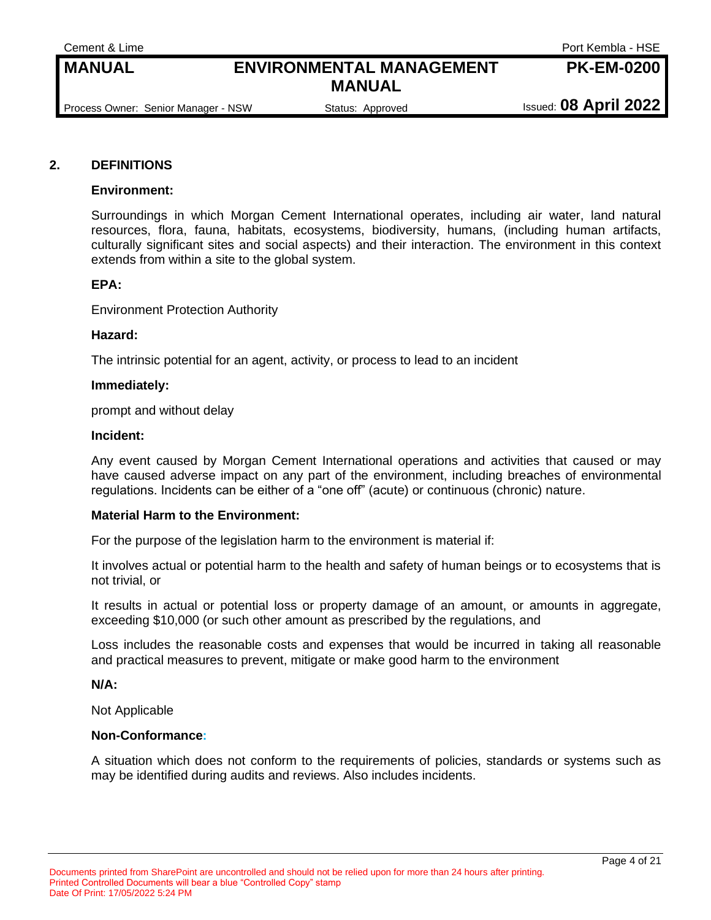Cement & Lime Port Kembla - HSE **PK-EM-0200**

#### **MANUAL ENVIRONMENTAL MANAGEMENT MANUAL**

#### **2. DEFINITIONS**

#### **Environment:**

Surroundings in which Morgan Cement International operates, including air water, land natural resources, flora, fauna, habitats, ecosystems, biodiversity, humans, (including human artifacts, culturally significant sites and social aspects) and their interaction. The environment in this context extends from within a site to the global system.

#### **EPA:**

Environment Protection Authority

#### **Hazard:**

The intrinsic potential for an agent, activity, or process to lead to an incident

#### **Immediately:**

prompt and without delay

#### **Incident:**

Any event caused by Morgan Cement International operations and activities that caused or may have caused adverse impact on any part of the environment, including breaches of environmental regulations. Incidents can be either of a "one off" (acute) or continuous (chronic) nature.

#### **Material Harm to the Environment:**

For the purpose of the legislation harm to the environment is material if:

It involves actual or potential harm to the health and safety of human beings or to ecosystems that is not trivial, or

It results in actual or potential loss or property damage of an amount, or amounts in aggregate, exceeding \$10,000 (or such other amount as prescribed by the regulations, and

Loss includes the reasonable costs and expenses that would be incurred in taking all reasonable and practical measures to prevent, mitigate or make good harm to the environment

#### **N/A:**

Not Applicable

#### **Non-Conformance:**

A situation which does not conform to the requirements of policies, standards or systems such as may be identified during audits and reviews. Also includes incidents.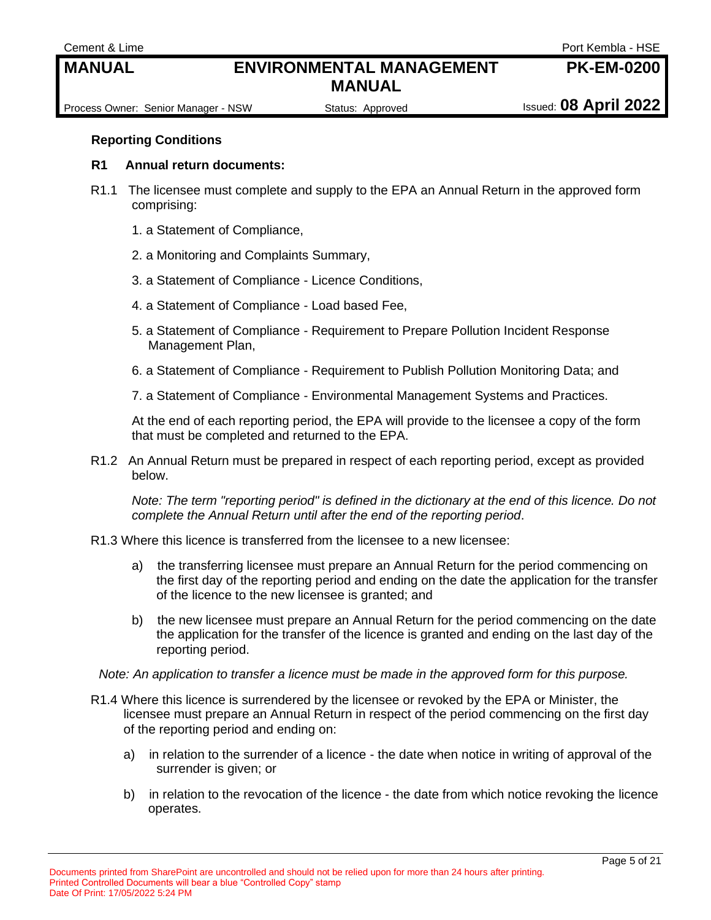Cement & Lime Port Kembla - HSE

**PK-EM-0200**

Process Owner: Senior Manager - NSW Status: Approved Issued: 08 April 2022

#### **Reporting Conditions**

#### **R1 Annual return documents:**

- R1.1 The licensee must complete and supply to the EPA an Annual Return in the approved form comprising:
	- 1. a Statement of Compliance,
	- 2. a Monitoring and Complaints Summary,
	- 3. a Statement of Compliance Licence Conditions,
	- 4. a Statement of Compliance Load based Fee,
	- 5. a Statement of Compliance Requirement to Prepare Pollution Incident Response Management Plan,
	- 6. a Statement of Compliance Requirement to Publish Pollution Monitoring Data; and
	- 7. a Statement of Compliance Environmental Management Systems and Practices.

At the end of each reporting period, the EPA will provide to the licensee a copy of the form that must be completed and returned to the EPA.

R1.2 An Annual Return must be prepared in respect of each reporting period, except as provided below.

*Note: The term "reporting period" is defined in the dictionary at the end of this licence. Do not complete the Annual Return until after the end of the reporting period*.

- R1.3 Where this licence is transferred from the licensee to a new licensee:
	- a) the transferring licensee must prepare an Annual Return for the period commencing on the first day of the reporting period and ending on the date the application for the transfer of the licence to the new licensee is granted; and
	- b) the new licensee must prepare an Annual Return for the period commencing on the date the application for the transfer of the licence is granted and ending on the last day of the reporting period.

*Note: An application to transfer a licence must be made in the approved form for this purpose.*

- R1.4 Where this licence is surrendered by the licensee or revoked by the EPA or Minister, the licensee must prepare an Annual Return in respect of the period commencing on the first day of the reporting period and ending on:
	- a) in relation to the surrender of a licence the date when notice in writing of approval of the surrender is given; or
	- b) in relation to the revocation of the licence the date from which notice revoking the licence operates.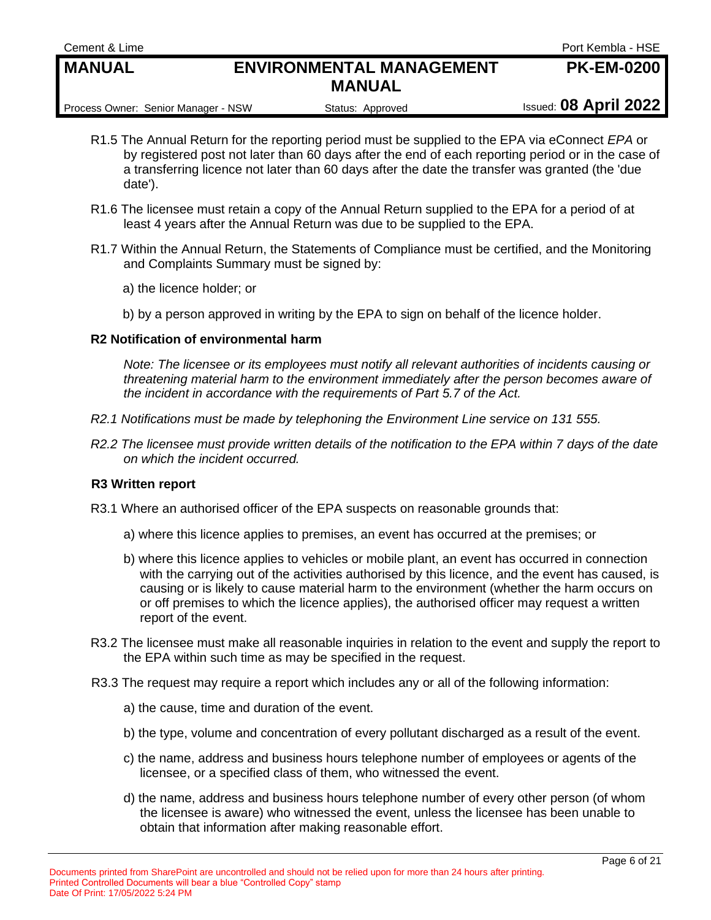Process Owner: Senior Manager - NSW Status: Approved Issued: 08 April 2022

- R1.5 The Annual Return for the reporting period must be supplied to the EPA via eConnect *EPA* or by registered post not later than 60 days after the end of each reporting period or in the case of a transferring licence not later than 60 days after the date the transfer was granted (the 'due date').
- R1.6 The licensee must retain a copy of the Annual Return supplied to the EPA for a period of at least 4 years after the Annual Return was due to be supplied to the EPA.
- R1.7 Within the Annual Return, the Statements of Compliance must be certified, and the Monitoring and Complaints Summary must be signed by:
	- a) the licence holder; or
	- b) by a person approved in writing by the EPA to sign on behalf of the licence holder.

#### **R2 Notification of environmental harm**

*Note: The licensee or its employees must notify all relevant authorities of incidents causing or threatening material harm to the environment immediately after the person becomes aware of the incident in accordance with the requirements of Part 5.7 of the Act.*

- *R2.1 Notifications must be made by telephoning the Environment Line service on 131 555.*
- *R2.2 The licensee must provide written details of the notification to the EPA within 7 days of the date on which the incident occurred.*

#### **R3 Written report**

- R3.1 Where an authorised officer of the EPA suspects on reasonable grounds that:
	- a) where this licence applies to premises, an event has occurred at the premises; or
	- b) where this licence applies to vehicles or mobile plant, an event has occurred in connection with the carrying out of the activities authorised by this licence, and the event has caused, is causing or is likely to cause material harm to the environment (whether the harm occurs on or off premises to which the licence applies), the authorised officer may request a written report of the event.
- R3.2 The licensee must make all reasonable inquiries in relation to the event and supply the report to the EPA within such time as may be specified in the request.
- R3.3 The request may require a report which includes any or all of the following information:
	- a) the cause, time and duration of the event.
	- b) the type, volume and concentration of every pollutant discharged as a result of the event.
	- c) the name, address and business hours telephone number of employees or agents of the licensee, or a specified class of them, who witnessed the event.
	- d) the name, address and business hours telephone number of every other person (of whom the licensee is aware) who witnessed the event, unless the licensee has been unable to obtain that information after making reasonable effort.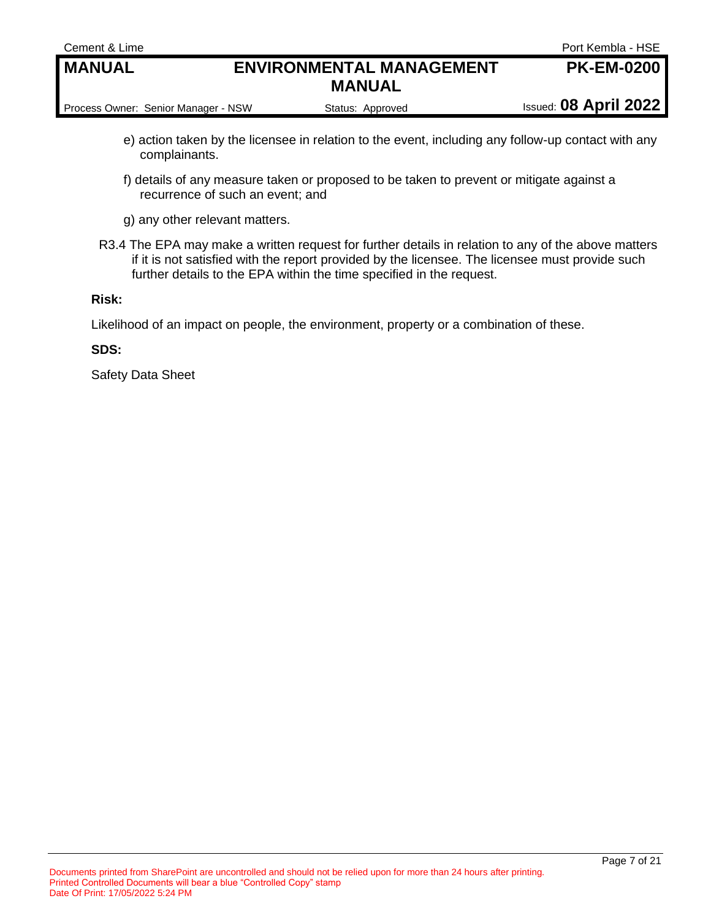| Cement & Lime                       |                                 | Port Kembla - HSE            |
|-------------------------------------|---------------------------------|------------------------------|
| <b>MANUAL</b>                       | <b>ENVIRONMENTAL MANAGEMENT</b> | <b>PK-EM-0200</b>            |
|                                     | <b>MANUAL</b>                   |                              |
| Process Owner: Senior Manager - NSW | Status: Approved                | <b>Issued: 08 April 2022</b> |

- e) action taken by the licensee in relation to the event, including any follow-up contact with any complainants.
- f) details of any measure taken or proposed to be taken to prevent or mitigate against a recurrence of such an event; and
- g) any other relevant matters.
- R3.4 The EPA may make a written request for further details in relation to any of the above matters if it is not satisfied with the report provided by the licensee. The licensee must provide such further details to the EPA within the time specified in the request.

#### **Risk:**

Likelihood of an impact on people, the environment, property or a combination of these.

#### **SDS:**

Safety Data Sheet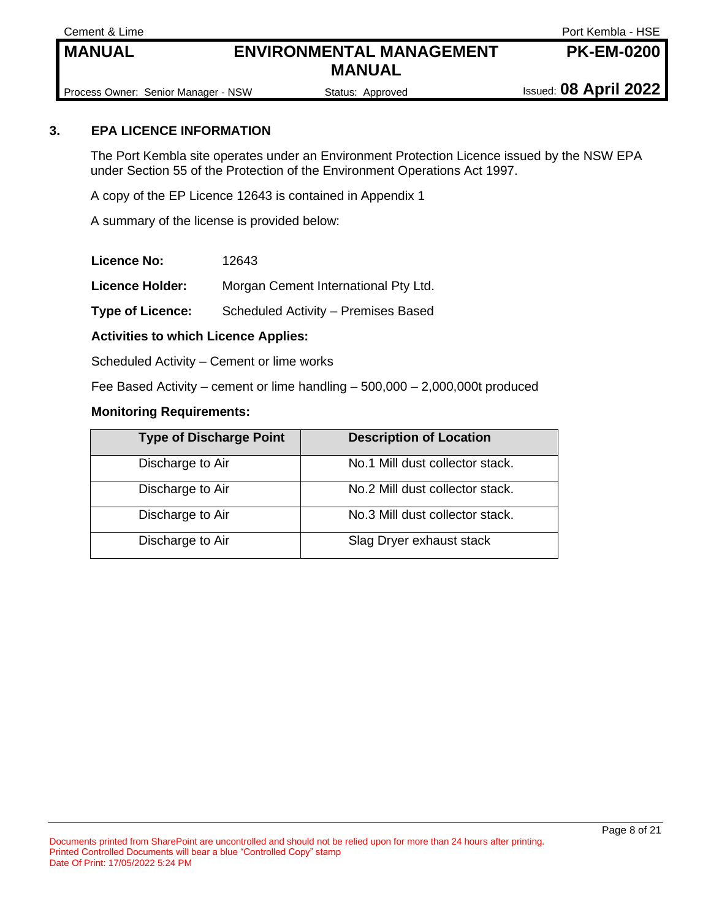Cement & Lime **Port Kembla - HSE** 

**PK-EM-0200**

Process Owner: Senior Manager - NSW Status: Approved Issued: 08 April 2022

#### **3. EPA LICENCE INFORMATION**

The Port Kembla site operates under an Environment Protection Licence issued by the NSW EPA under Section 55 of the Protection of the Environment Operations Act 1997.

A copy of the EP Licence 12643 is contained in Appendix 1

A summary of the license is provided below:

**Licence No:** 12643

**Licence Holder:** Morgan Cement International Pty Ltd.

**Type of Licence:** Scheduled Activity – Premises Based

**Activities to which Licence Applies:** 

Scheduled Activity – Cement or lime works

Fee Based Activity – cement or lime handling – 500,000 – 2,000,000t produced

#### **Monitoring Requirements:**

| <b>Type of Discharge Point</b> | <b>Description of Location</b>  |
|--------------------------------|---------------------------------|
| Discharge to Air               | No.1 Mill dust collector stack. |
| Discharge to Air               | No.2 Mill dust collector stack. |
| Discharge to Air               | No.3 Mill dust collector stack. |
| Discharge to Air               | Slag Dryer exhaust stack        |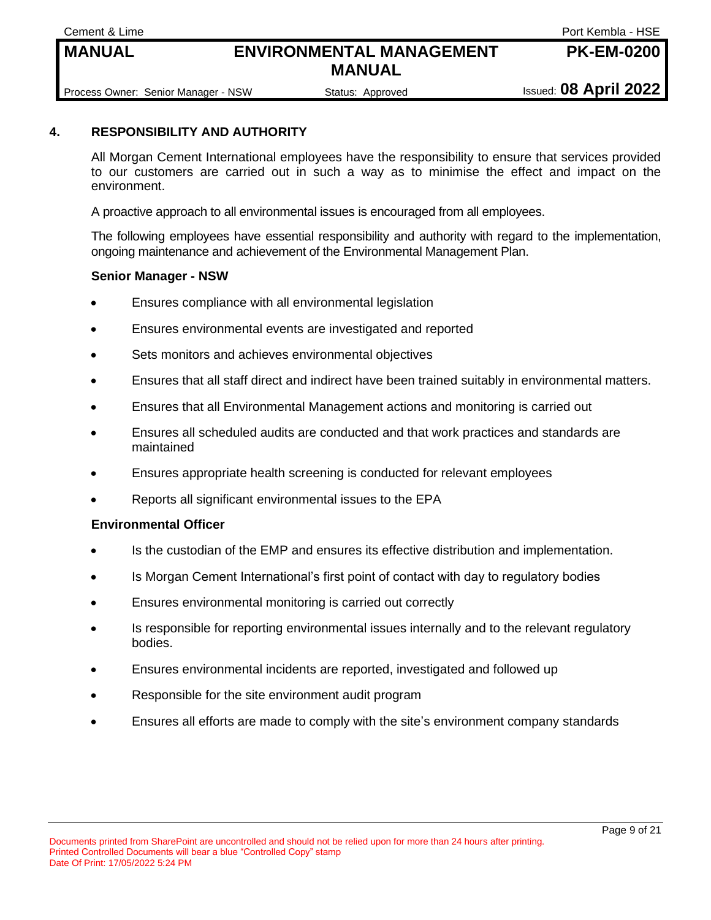**Cement & Lime** Port Kembla - HSE

**PK-EM-0200**

Process Owner: Senior Manager - NSW Status: Approved Issued: **08 April 2022** 

#### **4. RESPONSIBILITY AND AUTHORITY**

All Morgan Cement International employees have the responsibility to ensure that services provided to our customers are carried out in such a way as to minimise the effect and impact on the environment.

A proactive approach to all environmental issues is encouraged from all employees.

The following employees have essential responsibility and authority with regard to the implementation, ongoing maintenance and achievement of the Environmental Management Plan.

#### **Senior Manager - NSW**

- Ensures compliance with all environmental legislation
- Ensures environmental events are investigated and reported
- Sets monitors and achieves environmental objectives
- Ensures that all staff direct and indirect have been trained suitably in environmental matters.
- Ensures that all Environmental Management actions and monitoring is carried out
- Ensures all scheduled audits are conducted and that work practices and standards are maintained
- Ensures appropriate health screening is conducted for relevant employees
- Reports all significant environmental issues to the EPA

#### **Environmental Officer**

- Is the custodian of the EMP and ensures its effective distribution and implementation.
- Is Morgan Cement International's first point of contact with day to regulatory bodies
- Ensures environmental monitoring is carried out correctly
- Is responsible for reporting environmental issues internally and to the relevant regulatory bodies.
- Ensures environmental incidents are reported, investigated and followed up
- Responsible for the site environment audit program
- Ensures all efforts are made to comply with the site's environment company standards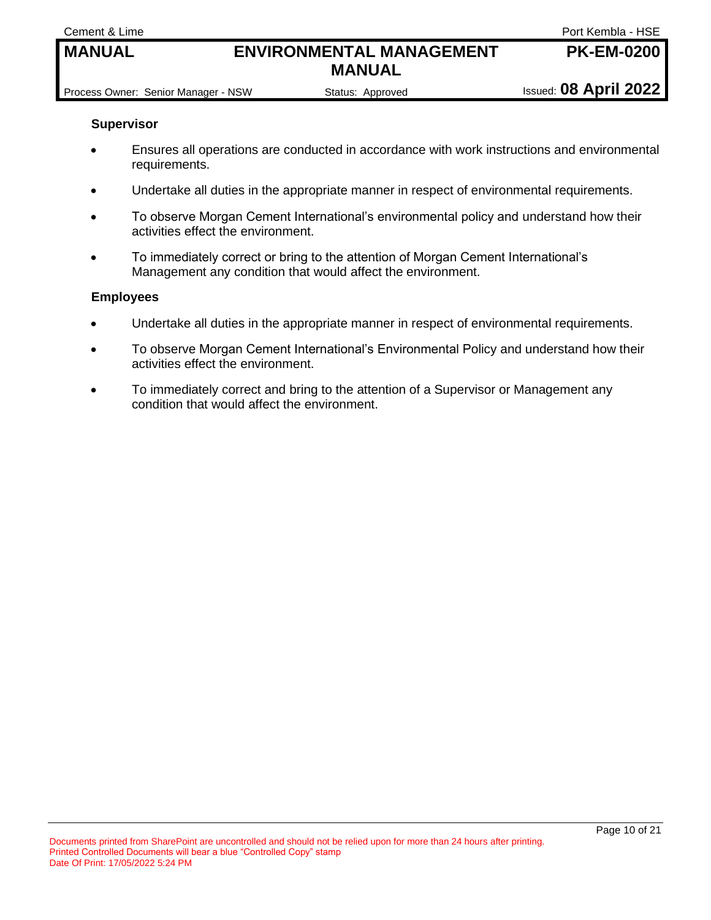**Cement & Lime Company of Company Company of Company Cement & Lime Port Kembla - HSE** 

**PK-EM-0200**

Process Owner: Senior Manager - NSW Status: Approved Issued: 08 April 2022

#### **Supervisor**

- Ensures all operations are conducted in accordance with work instructions and environmental requirements.
- Undertake all duties in the appropriate manner in respect of environmental requirements.
- To observe Morgan Cement International's environmental policy and understand how their activities effect the environment.
- To immediately correct or bring to the attention of Morgan Cement International's Management any condition that would affect the environment.

#### **Employees**

- Undertake all duties in the appropriate manner in respect of environmental requirements.
- To observe Morgan Cement International's Environmental Policy and understand how their activities effect the environment.
- To immediately correct and bring to the attention of a Supervisor or Management any condition that would affect the environment.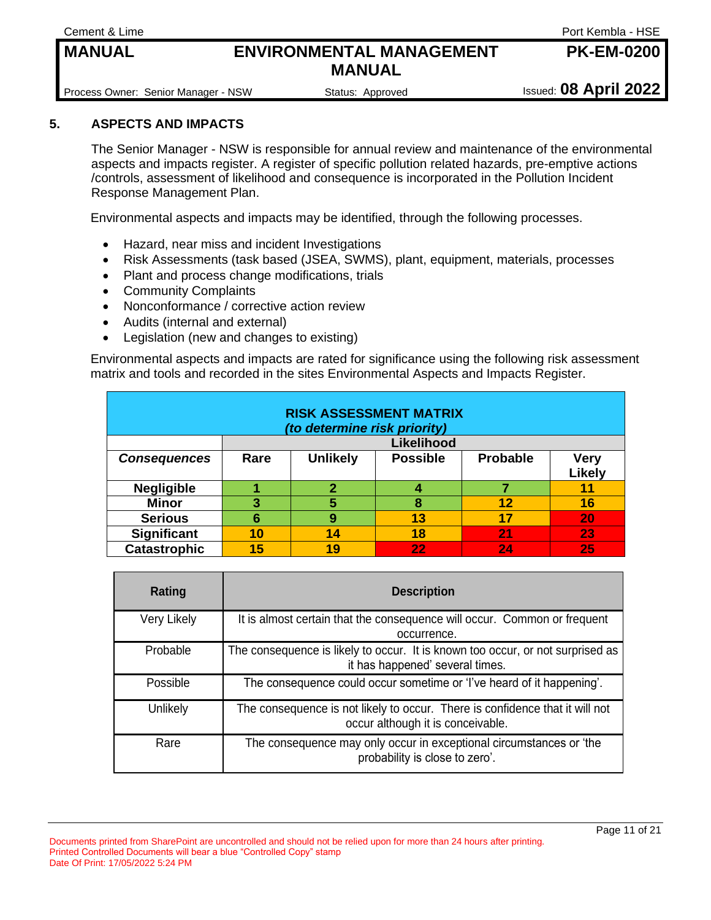**Cement & Lime** Port Kembla - HSE

**PK-EM-0200**

Process Owner: Senior Manager - NSW Status: Approved Issued: 08 April 2022

#### **5. ASPECTS AND IMPACTS**

The Senior Manager - NSW is responsible for annual review and maintenance of the environmental aspects and impacts register. A register of specific pollution related hazards, pre-emptive actions /controls, assessment of likelihood and consequence is incorporated in the Pollution Incident Response Management Plan.

Environmental aspects and impacts may be identified, through the following processes.

- Hazard, near miss and incident Investigations
- Risk Assessments (task based (JSEA, SWMS), plant, equipment, materials, processes
- Plant and process change modifications, trials
- Community Complaints
- Nonconformance / corrective action review
- Audits (internal and external)
- Legislation (new and changes to existing)

Environmental aspects and impacts are rated for significance using the following risk assessment matrix and tools and recorded in the sites Environmental Aspects and Impacts Register.

| <b>RISK ASSESSMENT MATRIX</b><br>(to determine risk priority) |            |                 |                 |                 |                       |
|---------------------------------------------------------------|------------|-----------------|-----------------|-----------------|-----------------------|
|                                                               | Likelihood |                 |                 |                 |                       |
| <b>Consequences</b>                                           | Rare       | <b>Unlikely</b> | <b>Possible</b> | <b>Probable</b> | <b>Very</b><br>Likely |
| <b>Negligible</b>                                             |            | 2               |                 |                 | 11                    |
| <b>Minor</b>                                                  | 3          | 5               | 8               | 12              | 16                    |
| <b>Serious</b>                                                | 6          | 9               | 13              | 17              | 20                    |
| Significant                                                   | 10         | 14              | 18              | 21              | 23                    |
| <b>Catastrophic</b>                                           | 15         | 19              | 22              | 24              | 25                    |

| Rating             | <b>Description</b>                                                                                                |
|--------------------|-------------------------------------------------------------------------------------------------------------------|
| <b>Very Likely</b> | It is almost certain that the consequence will occur. Common or frequent<br>occurrence.                           |
| Probable           | The consequence is likely to occur. It is known too occur, or not surprised as<br>it has happened' several times. |
| Possible           | The consequence could occur sometime or 'I've heard of it happening'.                                             |
| Unlikely           | The consequence is not likely to occur. There is confidence that it will not<br>occur although it is conceivable. |
| Rare               | The consequence may only occur in exceptional circumstances or 'the<br>probability is close to zero'.             |

Documents printed from SharePoint are uncontrolled and should not be relied upon for more than 24 hours after printing. Printed Controlled Documents will bear a blue "Controlled Copy" stamp Date Of Print: 17/05/2022 5:24 PM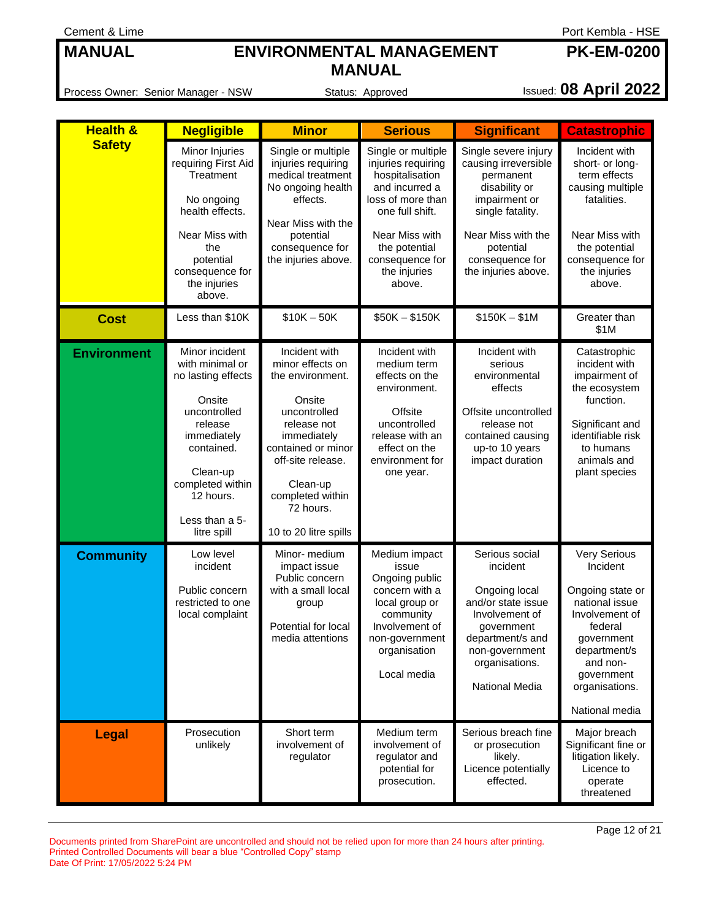Process Owner: Senior Manager - NSW Status: Approved Issued: **08 April 2022**

| <b>Health &amp;</b> | <b>Negligible</b>                                                                                                                                                                                       | <b>Minor</b>                                                                                                                                                                                                                   | <b>Serious</b>                                                                                                                                                                                        | <b>Significant</b>                                                                                                                                                                           | <b>Catastrophic</b>                                                                                                                                                                     |
|---------------------|---------------------------------------------------------------------------------------------------------------------------------------------------------------------------------------------------------|--------------------------------------------------------------------------------------------------------------------------------------------------------------------------------------------------------------------------------|-------------------------------------------------------------------------------------------------------------------------------------------------------------------------------------------------------|----------------------------------------------------------------------------------------------------------------------------------------------------------------------------------------------|-----------------------------------------------------------------------------------------------------------------------------------------------------------------------------------------|
| <b>Safety</b>       | Minor Injuries<br>requiring First Aid<br>Treatment<br>No ongoing<br>health effects.<br>Near Miss with<br>the<br>potential<br>consequence for<br>the injuries<br>above.                                  | Single or multiple<br>injuries requiring<br>medical treatment<br>No ongoing health<br>effects.<br>Near Miss with the<br>potential<br>consequence for<br>the injuries above.                                                    | Single or multiple<br>injuries requiring<br>hospitalisation<br>and incurred a<br>loss of more than<br>one full shift.<br>Near Miss with<br>the potential<br>consequence for<br>the injuries<br>above. | Single severe injury<br>causing irreversible<br>permanent<br>disability or<br>impairment or<br>single fatality.<br>Near Miss with the<br>potential<br>consequence for<br>the injuries above. | Incident with<br>short- or long-<br>term effects<br>causing multiple<br>fatalities.<br>Near Miss with<br>the potential<br>consequence for<br>the injuries<br>above.                     |
| <b>Cost</b>         | Less than \$10K                                                                                                                                                                                         | $$10K - 50K$                                                                                                                                                                                                                   | $$50K - $150K$                                                                                                                                                                                        | $$150K - $1M$                                                                                                                                                                                | Greater than<br>\$1M                                                                                                                                                                    |
| <b>Environment</b>  | Minor incident<br>with minimal or<br>no lasting effects<br>Onsite<br>uncontrolled<br>release<br>immediately<br>contained.<br>Clean-up<br>completed within<br>12 hours.<br>Less than a 5-<br>litre spill | Incident with<br>minor effects on<br>the environment.<br>Onsite<br>uncontrolled<br>release not<br>immediately<br>contained or minor<br>off-site release.<br>Clean-up<br>completed within<br>72 hours.<br>10 to 20 litre spills | Incident with<br>medium term<br>effects on the<br>environment.<br>Offsite<br>uncontrolled<br>release with an<br>effect on the<br>environment for<br>one year.                                         | Incident with<br>serious<br>environmental<br>effects<br>Offsite uncontrolled<br>release not<br>contained causing<br>up-to 10 years<br>impact duration                                        | Catastrophic<br>incident with<br>impairment of<br>the ecosystem<br>function.<br>Significant and<br>identifiable risk<br>to humans<br>animals and<br>plant species                       |
| <b>Community</b>    | Low level<br>incident<br>Public concern<br>restricted to one<br>local complaint                                                                                                                         | Minor- medium<br>impact issue<br>Public concern<br>with a small local<br>group<br>Potential for local<br>media attentions                                                                                                      | Medium impact<br>issue<br>Ongoing public<br>concern with a<br>local group or<br>community<br>Involvement of<br>non-government<br>organisation<br>Local media                                          | Serious social<br>incident<br>Ongoing local<br>and/or state issue<br>Involvement of<br>government<br>department/s and<br>non-government<br>organisations.<br>National Media                  | Very Serious<br>Incident<br>Ongoing state or<br>national issue<br>Involvement of<br>federal<br>government<br>department/s<br>and non-<br>government<br>organisations.<br>National media |
| <b>Legal</b>        | Prosecution<br>unlikely                                                                                                                                                                                 | Short term<br>involvement of<br>regulator                                                                                                                                                                                      | Medium term<br>involvement of<br>regulator and<br>potential for<br>prosecution.                                                                                                                       | Serious breach fine<br>or prosecution<br>likely.<br>Licence potentially<br>effected.                                                                                                         | Major breach<br>Significant fine or<br>litigation likely.<br>Licence to<br>operate<br>threatened                                                                                        |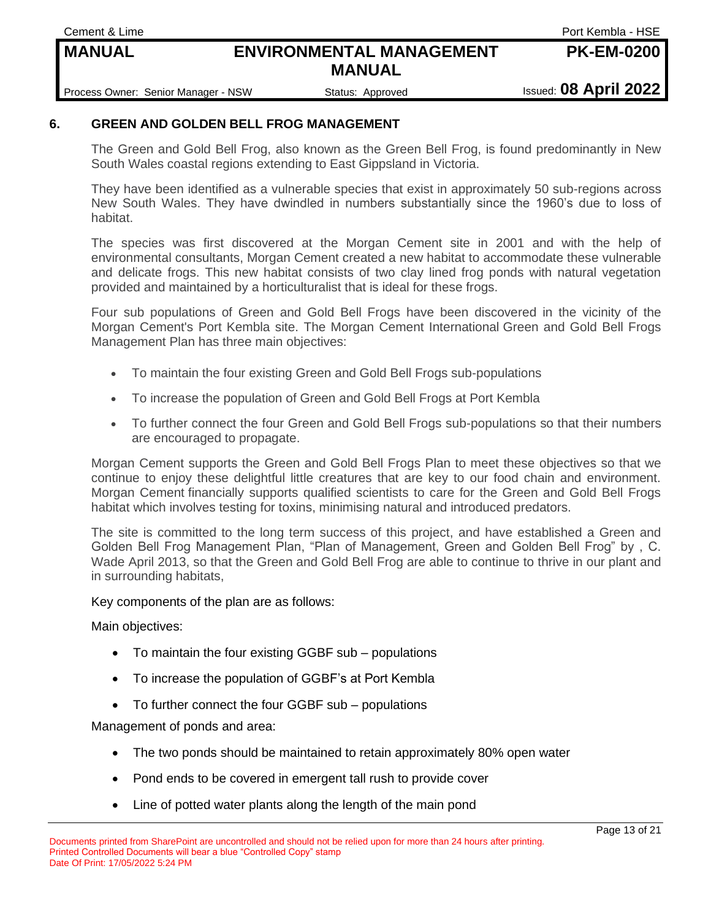**Cement & Lime** Port Kembla - HSE

**PK-EM-0200**

Process Owner: Senior Manager - NSW Status: Approved Issued: **08 April 2022** 

#### **6. GREEN AND GOLDEN BELL FROG MANAGEMENT**

The Green and Gold Bell Frog, also known as the Green Bell Frog, is found predominantly in New South Wales coastal regions extending to East Gippsland in Victoria.

They have been identified as a vulnerable species that exist in approximately 50 sub-regions across New South Wales. They have dwindled in numbers substantially since the 1960's due to loss of habitat.

The species was first discovered at the Morgan Cement site in 2001 and with the help of environmental consultants, Morgan Cement created a new habitat to accommodate these vulnerable and delicate frogs. This new habitat consists of two clay lined frog ponds with natural vegetation provided and maintained by a horticulturalist that is ideal for these frogs.

Four sub populations of Green and Gold Bell Frogs have been discovered in the vicinity of the Morgan Cement's Port Kembla site. The Morgan Cement International Green and Gold Bell Frogs Management Plan has three main objectives:

- To maintain the four existing Green and Gold Bell Frogs sub-populations
- To increase the population of Green and Gold Bell Frogs at Port Kembla
- To further connect the four Green and Gold Bell Frogs sub-populations so that their numbers are encouraged to propagate.

Morgan Cement supports the Green and Gold Bell Frogs Plan to meet these objectives so that we continue to enjoy these delightful little creatures that are key to our food chain and environment. Morgan Cement financially supports qualified scientists to care for the Green and Gold Bell Frogs habitat which involves testing for toxins, minimising natural and introduced predators.

The site is committed to the long term success of this project, and have established a Green and Golden Bell Frog Management Plan, "Plan of Management, Green and Golden Bell Frog" by , C. Wade April 2013, so that the Green and Gold Bell Frog are able to continue to thrive in our plant and in surrounding habitats,

#### Key components of the plan are as follows:

Main objectives:

- To maintain the four existing GGBF sub populations
- To increase the population of GGBF's at Port Kembla
- To further connect the four GGBF sub populations

Management of ponds and area:

- The two ponds should be maintained to retain approximately 80% open water
- Pond ends to be covered in emergent tall rush to provide cover
- Line of potted water plants along the length of the main pond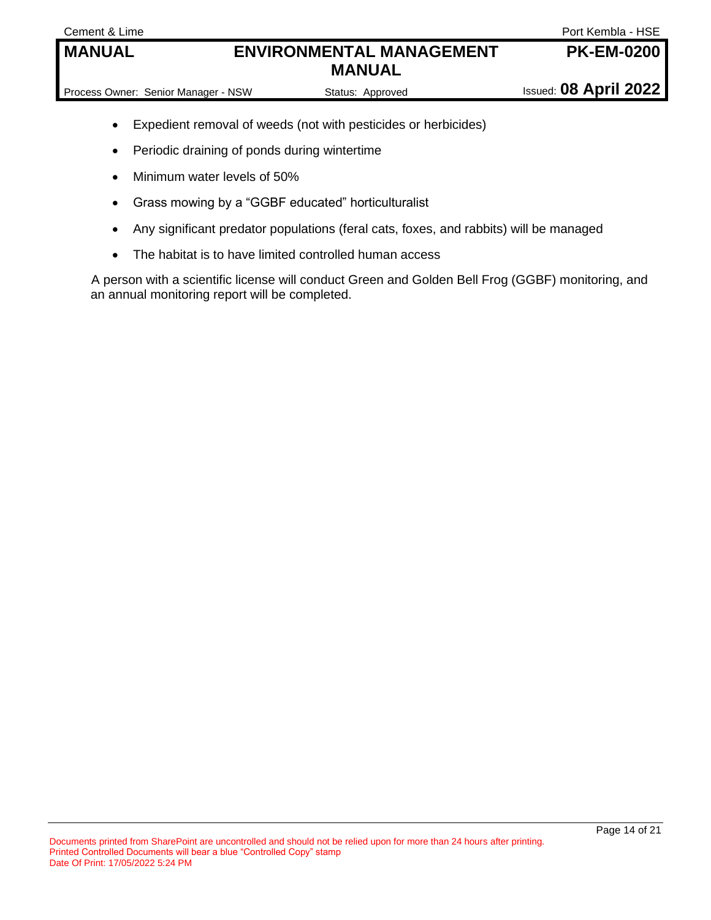- Expedient removal of weeds (not with pesticides or herbicides)
- Periodic draining of ponds during wintertime
- Minimum water levels of 50%
- Grass mowing by a "GGBF educated" horticulturalist
- Any significant predator populations (feral cats, foxes, and rabbits) will be managed
- The habitat is to have limited controlled human access

A person with a scientific license will conduct Green and Golden Bell Frog (GGBF) monitoring, and an annual monitoring report will be completed.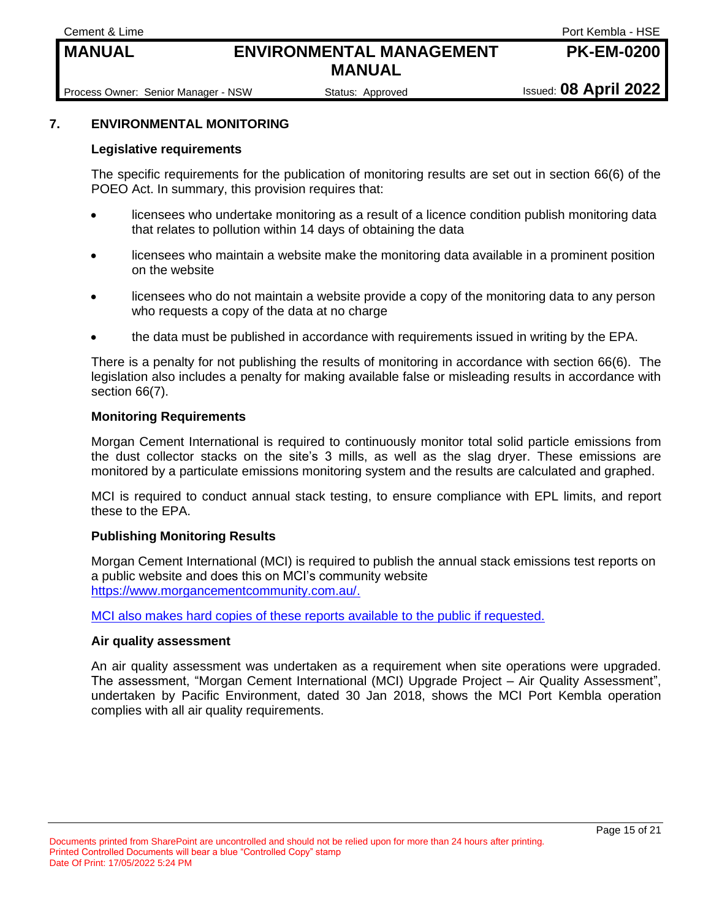**Cement & Lime** Port Kembla - HSE

**PK-EM-0200**

Process Owner: Senior Manager - NSW Status: Approved Issued: 08 April 2022

#### **7. ENVIRONMENTAL MONITORING**

#### **Legislative requirements**

The specific requirements for the publication of monitoring results are set out in section 66(6) of the POEO Act. In summary, this provision requires that:

- licensees who undertake monitoring as a result of a licence condition publish monitoring data that relates to pollution within 14 days of obtaining the data
- licensees who maintain a website make the monitoring data available in a prominent position on the website
- licensees who do not maintain a website provide a copy of the monitoring data to any person who requests a copy of the data at no charge
- the data must be published in accordance with requirements issued in writing by the EPA.

There is a penalty for not publishing the results of monitoring in accordance with section 66(6). The legislation also includes a penalty for making available false or misleading results in accordance with section 66(7).

#### **Monitoring Requirements**

Morgan Cement International is required to continuously monitor total solid particle emissions from the dust collector stacks on the site's 3 mills, as well as the slag dryer. These emissions are monitored by a particulate emissions monitoring system and the results are calculated and graphed.

MCI is required to conduct annual stack testing, to ensure compliance with EPL limits, and report these to the EPA.

#### **Publishing Monitoring Results**

Morgan Cement International (MCI) is required to publish the annual stack emissions test reports on a public website and does this on MCI's community website [https://www.morgancementcommunity.com.au/.](https://www.morgancementcommunity.com.au/)

MCI also makes hard copies of these reports available to the public if requested.

#### **Air quality assessment**

An air quality assessment was undertaken as a requirement when site operations were upgraded. The assessment, "Morgan Cement International (MCI) Upgrade Project – Air Quality Assessment", undertaken by Pacific Environment, dated 30 Jan 2018, shows the MCI Port Kembla operation complies with all air quality requirements.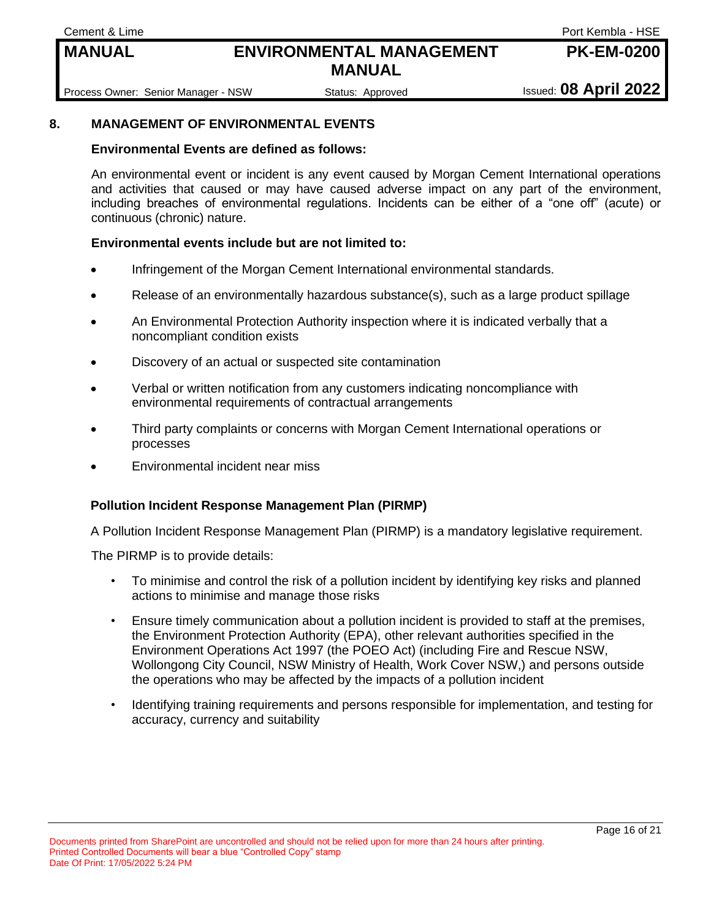**Cement & Lime** Port Kembla - HSE

**PK-EM-0200**

Process Owner: Senior Manager - NSW Status: Approved Issued: 08 April 2022

#### **8. MANAGEMENT OF ENVIRONMENTAL EVENTS**

#### **Environmental Events are defined as follows:**

An environmental event or incident is any event caused by Morgan Cement International operations and activities that caused or may have caused adverse impact on any part of the environment, including breaches of environmental regulations. Incidents can be either of a "one off" (acute) or continuous (chronic) nature.

#### **Environmental events include but are not limited to:**

- Infringement of the Morgan Cement International environmental standards.
- Release of an environmentally hazardous substance(s), such as a large product spillage
- An Environmental Protection Authority inspection where it is indicated verbally that a noncompliant condition exists
- Discovery of an actual or suspected site contamination
- Verbal or written notification from any customers indicating noncompliance with environmental requirements of contractual arrangements
- Third party complaints or concerns with Morgan Cement International operations or processes
- Environmental incident near miss

#### **Pollution Incident Response Management Plan (PIRMP)**

A Pollution Incident Response Management Plan (PIRMP) is a mandatory legislative requirement.

The PIRMP is to provide details:

- To minimise and control the risk of a pollution incident by identifying key risks and planned actions to minimise and manage those risks
- Ensure timely communication about a pollution incident is provided to staff at the premises, the Environment Protection Authority (EPA), other relevant authorities specified in the Environment Operations Act 1997 (the POEO Act) (including Fire and Rescue NSW, Wollongong City Council, NSW Ministry of Health, Work Cover NSW,) and persons outside the operations who may be affected by the impacts of a pollution incident
- Identifying training requirements and persons responsible for implementation, and testing for accuracy, currency and suitability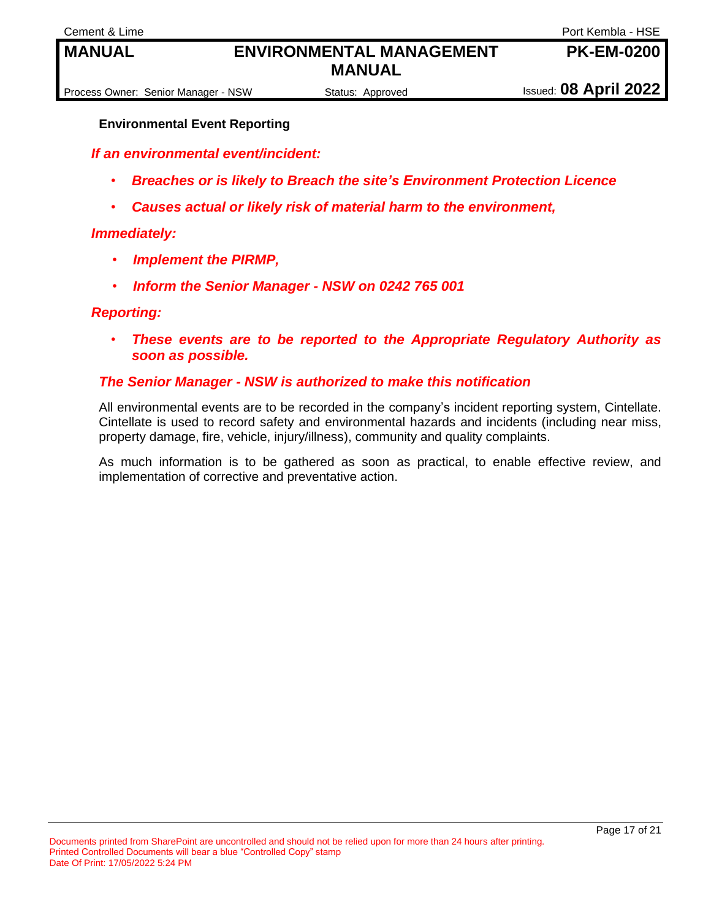Process Owner: Senior Manager - NSW Status: Approved Issued: **08 April 2022** 

#### **Environmental Event Reporting**

*If an environmental event/incident:*

- *Breaches or is likely to Breach the site's Environment Protection Licence*
- *Causes actual or likely risk of material harm to the environment,*

#### *Immediately:*

- *Implement the PIRMP,*
- *Inform the Senior Manager - NSW on 0242 765 001*

#### *Reporting:*

• *These events are to be reported to the Appropriate Regulatory Authority as soon as possible.* 

#### *The Senior Manager - NSW is authorized to make this notification*

All environmental events are to be recorded in the company's incident reporting system, Cintellate. Cintellate is used to record safety and environmental hazards and incidents (including near miss, property damage, fire, vehicle, injury/illness), community and quality complaints.

As much information is to be gathered as soon as practical, to enable effective review, and implementation of corrective and preventative action.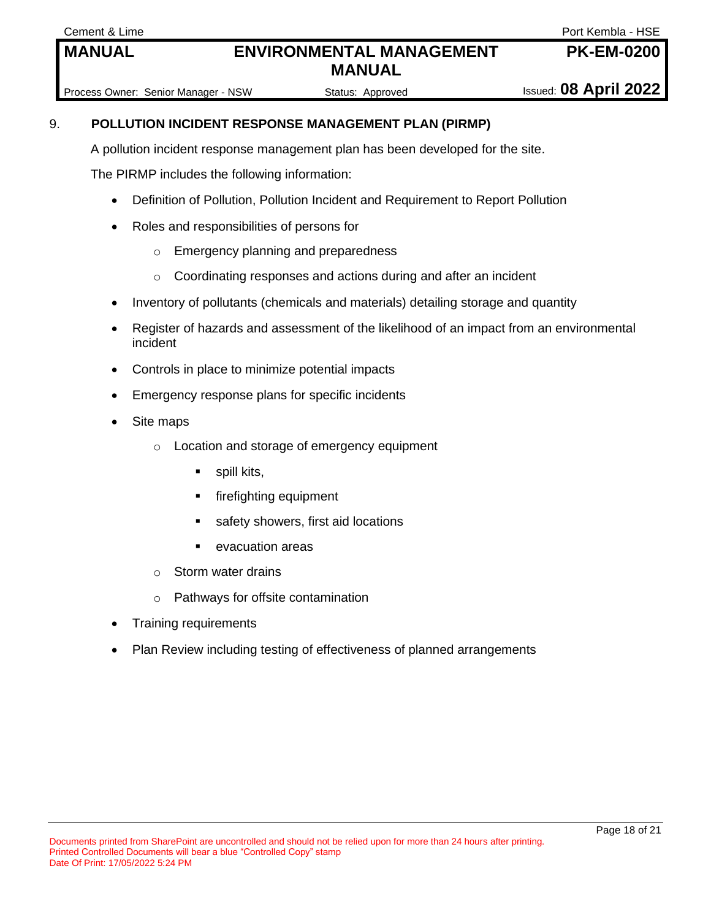**Cement & Lime** Port Kembla - HSE **PK-EM-0200**

Process Owner: Senior Manager - NSW Status: Approved Issued: 08 April 2022

#### 9. **POLLUTION INCIDENT RESPONSE MANAGEMENT PLAN (PIRMP)**

A pollution incident response management plan has been developed for the site.

The PIRMP includes the following information:

- Definition of Pollution, Pollution Incident and Requirement to Report Pollution
- Roles and responsibilities of persons for
	- o Emergency planning and preparedness
	- o Coordinating responses and actions during and after an incident
- Inventory of pollutants (chemicals and materials) detailing storage and quantity
- Register of hazards and assessment of the likelihood of an impact from an environmental incident
- Controls in place to minimize potential impacts
- Emergency response plans for specific incidents
- Site maps
	- o Location and storage of emergency equipment
		- spill kits,
		- firefighting equipment
		- safety showers, first aid locations
		- evacuation areas
	- o Storm water drains
	- o Pathways for offsite contamination
- Training requirements
- Plan Review including testing of effectiveness of planned arrangements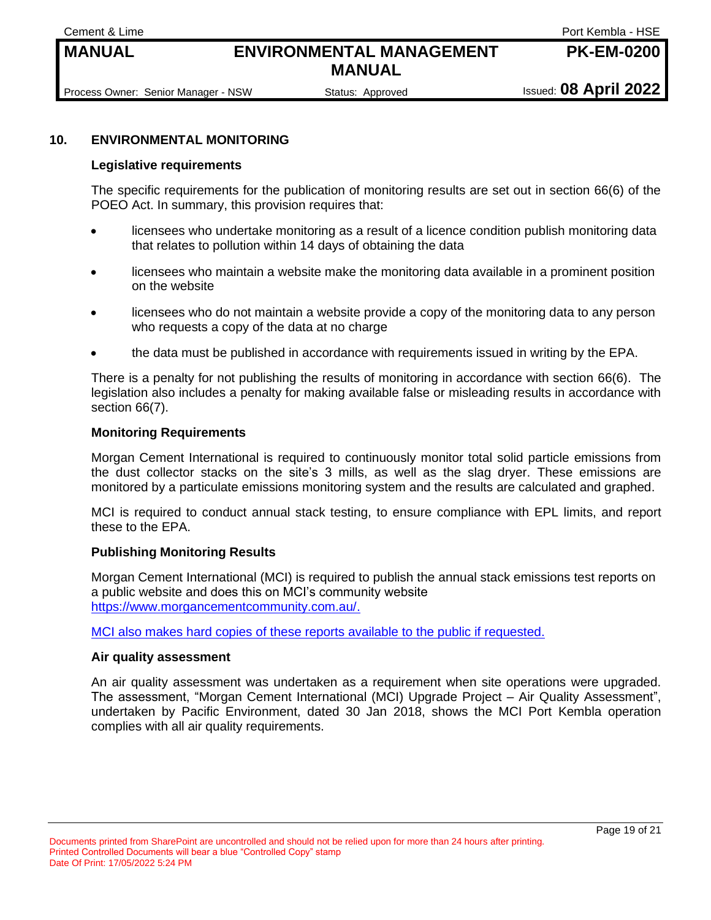**Cement & Lime** Port Kembla - HSE

**PK-EM-0200**

Process Owner: Senior Manager - NSW Status: Approved Issued: **08 April 2022** 

#### **10. ENVIRONMENTAL MONITORING**

#### **Legislative requirements**

The specific requirements for the publication of monitoring results are set out in section 66(6) of the POEO Act. In summary, this provision requires that:

- licensees who undertake monitoring as a result of a licence condition publish monitoring data that relates to pollution within 14 days of obtaining the data
- licensees who maintain a website make the monitoring data available in a prominent position on the website
- licensees who do not maintain a website provide a copy of the monitoring data to any person who requests a copy of the data at no charge
- the data must be published in accordance with requirements issued in writing by the EPA.

There is a penalty for not publishing the results of monitoring in accordance with section 66(6). The legislation also includes a penalty for making available false or misleading results in accordance with section 66(7).

#### **Monitoring Requirements**

Morgan Cement International is required to continuously monitor total solid particle emissions from the dust collector stacks on the site's 3 mills, as well as the slag dryer. These emissions are monitored by a particulate emissions monitoring system and the results are calculated and graphed.

MCI is required to conduct annual stack testing, to ensure compliance with EPL limits, and report these to the EPA.

#### **Publishing Monitoring Results**

Morgan Cement International (MCI) is required to publish the annual stack emissions test reports on a public website and does this on MCI's community website [https://www.morgancementcommunity.com.au/.](https://www.morgancementcommunity.com.au/)

MCI also makes hard copies of these reports available to the public if requested.

#### **Air quality assessment**

An air quality assessment was undertaken as a requirement when site operations were upgraded. The assessment, "Morgan Cement International (MCI) Upgrade Project – Air Quality Assessment", undertaken by Pacific Environment, dated 30 Jan 2018, shows the MCI Port Kembla operation complies with all air quality requirements.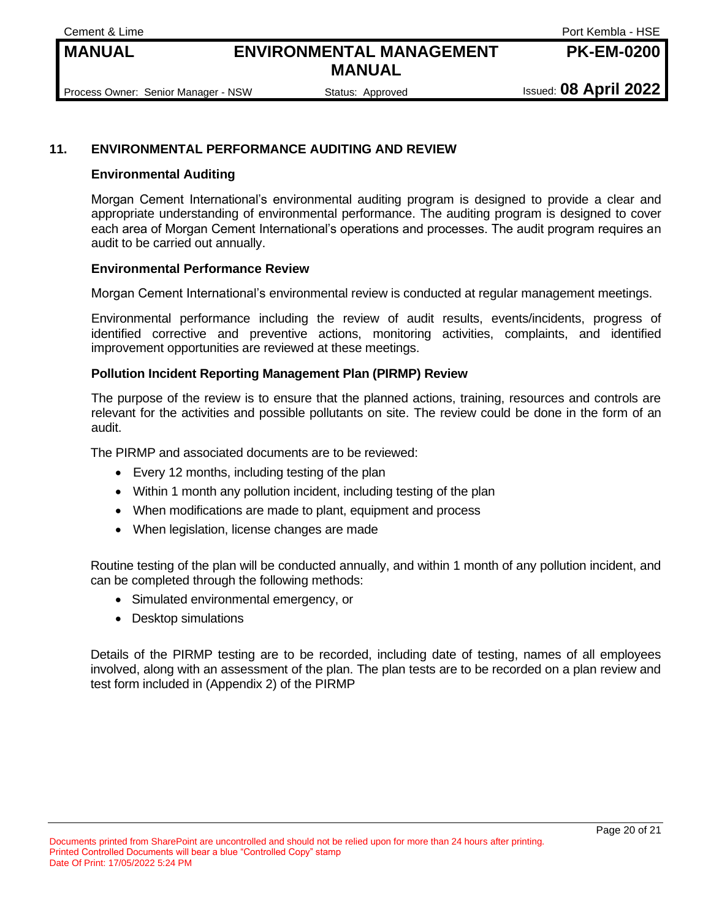**Cement & Lime** Port Kembla - HSE

**PK-EM-0200**

Process Owner: Senior Manager - NSW Status: Approved Issued: **08 April 2022** 

#### **11. ENVIRONMENTAL PERFORMANCE AUDITING AND REVIEW**

#### **Environmental Auditing**

Morgan Cement International's environmental auditing program is designed to provide a clear and appropriate understanding of environmental performance. The auditing program is designed to cover each area of Morgan Cement International's operations and processes. The audit program requires an audit to be carried out annually.

#### **Environmental Performance Review**

Morgan Cement International's environmental review is conducted at regular management meetings.

Environmental performance including the review of audit results, events/incidents, progress of identified corrective and preventive actions, monitoring activities, complaints, and identified improvement opportunities are reviewed at these meetings.

#### **Pollution Incident Reporting Management Plan (PIRMP) Review**

The purpose of the review is to ensure that the planned actions, training, resources and controls are relevant for the activities and possible pollutants on site. The review could be done in the form of an audit.

The PIRMP and associated documents are to be reviewed:

- Every 12 months, including testing of the plan
- Within 1 month any pollution incident, including testing of the plan
- When modifications are made to plant, equipment and process
- When legislation, license changes are made

Routine testing of the plan will be conducted annually, and within 1 month of any pollution incident, and can be completed through the following methods:

- Simulated environmental emergency, or
- Desktop simulations

Details of the PIRMP testing are to be recorded, including date of testing, names of all employees involved, along with an assessment of the plan. The plan tests are to be recorded on a plan review and test form included in (Appendix 2) of the PIRMP